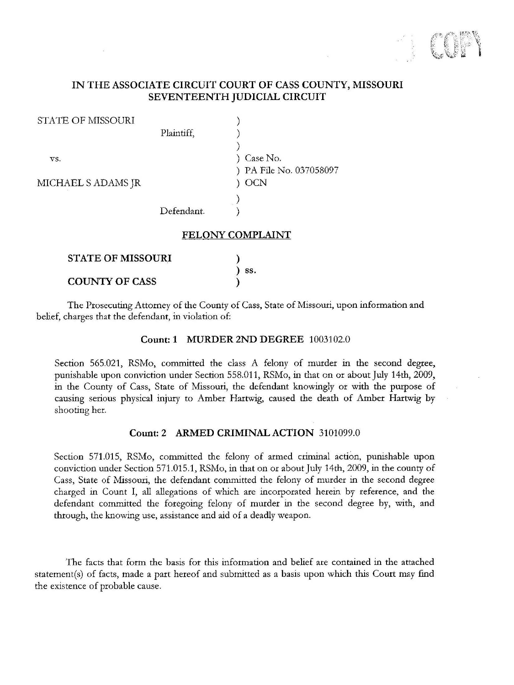

## IN THE ASSOCIATE CIRCUIT COURT OF CASS COUNTY, MISSOURI SEVENTEENTH JUDICIAL CIRCUIT

| <b>STATE OF MISSOURI</b> |            |                       |
|--------------------------|------------|-----------------------|
|                          | Plaintiff, |                       |
|                          |            |                       |
| VS.                      |            | Case No.              |
|                          |            | PA File No. 037058097 |
| MICHAEL S ADAMS JR       |            | <b>OCN</b>            |
|                          |            |                       |
|                          | Defendant. |                       |
|                          |            |                       |

#### FELONY COMPLAINT

| $\sum$ SS. |
|------------|
|            |

The Prosecuting Attorney of the County of Cass, State of Missouri, upon information and belief, charges that the defendant, in violation of:

### Count: 1 MURDER 2ND DEGREE 1003102.0

Section 565.021, RSMo, committed the class A felony of murder in the second degree, punishable upon conviction under Section 558.011, RSMo, in that on or about July 14th, 2009, in the County of Cass, State of Missouri, the defendant knowingly or with the purpose of causing serious physical injury to Amber Hartwig, caused the death of Amber Hartwig by shooting her.

#### Count: 2 ARMED CRIMINAL ACTION 3101099.0

Section 571.015, RSMo, committed the felony of armed criminal action, punishable upon conviction under Section 571.015.1, RSMo, in that on or about July 14th, 2009, in the county of Cass, State of Missouri, the defendant committed the felony of murder in the second degree charged in Count I, all allegations of which are incorporated herein by reference, and the defendant committed the foregoing felony of murder in the second degree by, with, and through, the knowing use, assistance and aid of a deadly weapon.

The facts that form the basis for this information and belief are contained in the attached statement(s) of facts, made a part hereof and submitted as a basis upon which this Court may find the existence of probable cause.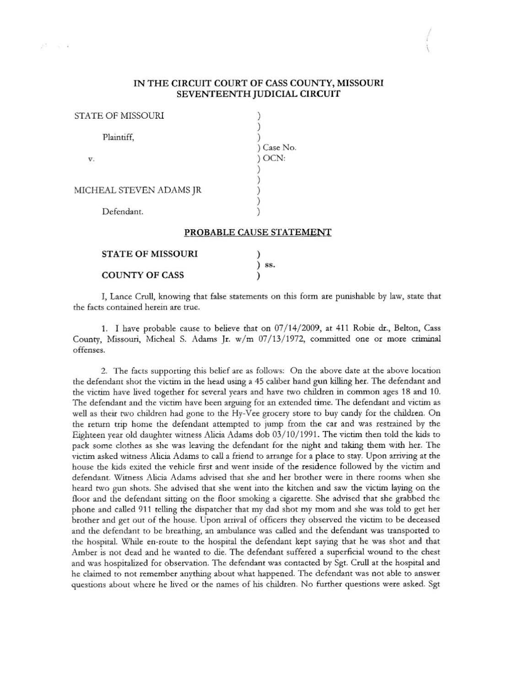#### IN THE CIRCUIT COURT OF CASS COUNTY, MISSOURI SEVENTEENTH JUDICIAL CIRCUIT

 $\lambda$ 

| STATE OF MISSOURI        |                          |
|--------------------------|--------------------------|
| Plaintiff,               |                          |
|                          | Case No.                 |
| V.                       | OCN:                     |
|                          |                          |
|                          |                          |
| MICHEAL STEVEN ADAMS JR  |                          |
|                          |                          |
| Defendant.               |                          |
|                          | PROBABLE CAUSE STATEMENT |
| <b>STATE OF MISSOURI</b> |                          |

COUNTY OF CASS

 $\sim$   $-1$ 

# I, Lance Crull, knowing that false statements on this form are punishable by law, state that the facts contained herein are true.

) 58. )

1. I have probable cause to believe that on 07/14/2009, at 411 Robie dr., Belton, Cass County, Missouri, Micheal S. Adams Jr.  $w/m$  07/13/1972, committed one or more criminal offenses.

2. The facts supporting this belief are as follows: On the above date at the above location rhe defendant shot the victim in the bead using a 45 caliber hand gun killing her. The defendant and the victim have lived together for several years and have two children in common ages 18 and 10. The defendant and the victim have been arguing for an extended time. The defendant and victim as well as their two children had gone to the Hy-Vee grocery store to buy candy for the children. On the return trip home the defendant attempted to jump from the car and was restrained by the Eighteen year old daughter witness Alicia Adams dob 03/10/1991. The victim then told the kids to pack some clothes as she was leaving the defendant for the night and taking them with her. The victim asked witness Alicia Adams to call a friend to arrange for a place to stay. Upon arriving at the house the kids exited the vehicle first and went inside of the residence followed by the victim and defendant. Witness Alicia Adams advised that she and her brother were in there rooms whcn she heard two gun shots. She advised that she went into the kitchen and saw the victim laying on the floor and the defendant sitting on the floor smoking a cigarette. She advised that she grabbed the phone and called 911 telling the dispatcher that my dad shot my mom and she was told to get her brother and get out of the house. Upon arrival of officers they observed the victim to be deceased and the defendant to be breathing, an ambulance was called and the defendant was transported to the hospital. While en-route to the hospital the defendant kept saying that he was shot and that Amber is not dead and he wanted to die. The defendant suffered a superficial wound to the chest and was hospitalized for observation. The defendant was contacted by Sgt. Crull at the hospital and he claimed to not remember anything about what happened. The defendant was not able to answer questions about where he lived or the names of his children. No further questions were asked. Sgt